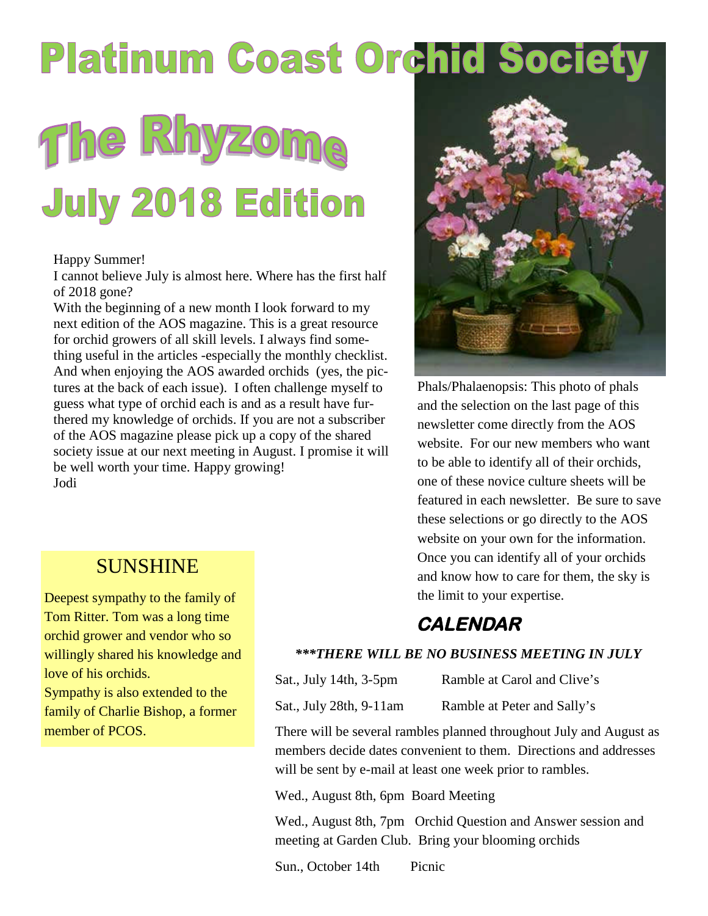## **Platinum Coast Orchid Society**

# The Rhyzome **July 2018 Edition**

#### Happy Summer!

I cannot believe July is almost here. Where has the first half of 2018 gone?

With the beginning of a new month I look forward to my next edition of the AOS magazine. This is a great resource for orchid growers of all skill levels. I always find something useful in the articles -especially the monthly checklist. And when enjoying the AOS awarded orchids (yes, the pictures at the back of each issue). I often challenge myself to guess what type of orchid each is and as a result have furthered my knowledge of orchids. If you are not a subscriber of the AOS magazine please pick up a copy of the shared society issue at our next meeting in August. I promise it will be well worth your time. Happy growing! Jodi

**SUNSHINE** 

Deepest sympathy to the family of Tom Ritter. Tom was a long time orchid grower and vendor who so willingly shared his knowledge and

Sympathy is also extended to the family of Charlie Bishop, a former

love of his orchids.

member of PCOS.

Phals/Phalaenopsis: This photo of phals and the selection on the last page of this newsletter come directly from the AOS website. For our new members who want to be able to identify all of their orchids, one of these novice culture sheets will be featured in each newsletter. Be sure to save these selections or go directly to the AOS website on your own for the information. Once you can identify all of your orchids and know how to care for them, the sky is the limit to your expertise.

#### **CALENDAR**

#### *\*\*\*THERE WILL BE NO BUSINESS MEETING IN JULY*

Sat., July 14th, 3-5pm Ramble at Carol and Clive's

Sat., July 28th, 9-11am Ramble at Peter and Sally's

There will be several rambles planned throughout July and August as members decide dates convenient to them. Directions and addresses will be sent by e-mail at least one week prior to rambles.

Wed., August 8th, 6pm Board Meeting

Wed., August 8th, 7pm Orchid Question and Answer session and meeting at Garden Club. Bring your blooming orchids

Sun., October 14th Picnic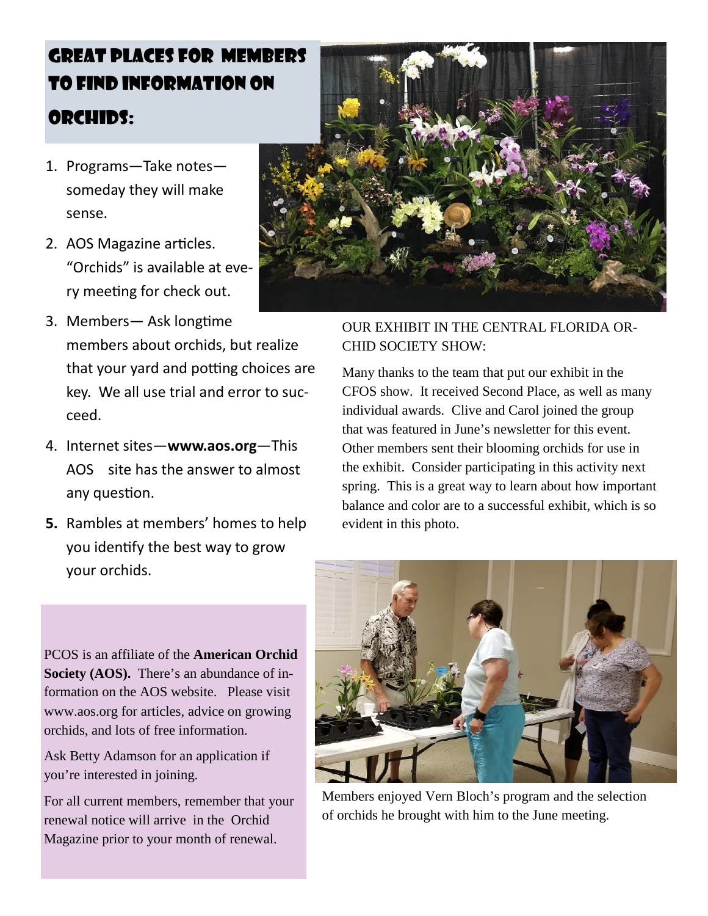### GREAT PLACES FOR MEMBERS TO FIND INFORMATION ON ORCHIDS:

- 1. Programs—Take notes someday they will make sense.
- 2. AOS Magazine articles. "Orchids" is available at every meeting for check out.
- 3. Members- Ask longtime members about orchids, but realize that your yard and potting choices are key. We all use trial and error to succeed.
- 4. Internet sites—**www.aos.org**—This AOS site has the answer to almost any question.
- **5.** Rambles at members' homes to help you identify the best way to grow your orchids.



#### OUR EXHIBIT IN THE CENTRAL FLORIDA OR-CHID SOCIETY SHOW:

Many thanks to the team that put our exhibit in the CFOS show. It received Second Place, as well as many individual awards. Clive and Carol joined the group that was featured in June's newsletter for this event. Other members sent their blooming orchids for use in the exhibit. Consider participating in this activity next spring. This is a great way to learn about how important balance and color are to a successful exhibit, which is so evident in this photo.

PCOS is an affiliate of the **American Orchid Society (AOS).** There's an abundance of information on the AOS website. Please visit www.aos.org for articles, advice on growing orchids, and lots of free information.

Ask Betty Adamson for an application if you're interested in joining.

For all current members, remember that your renewal notice will arrive in the Orchid Magazine prior to your month of renewal.



Members enjoyed Vern Bloch's program and the selection of orchids he brought with him to the June meeting.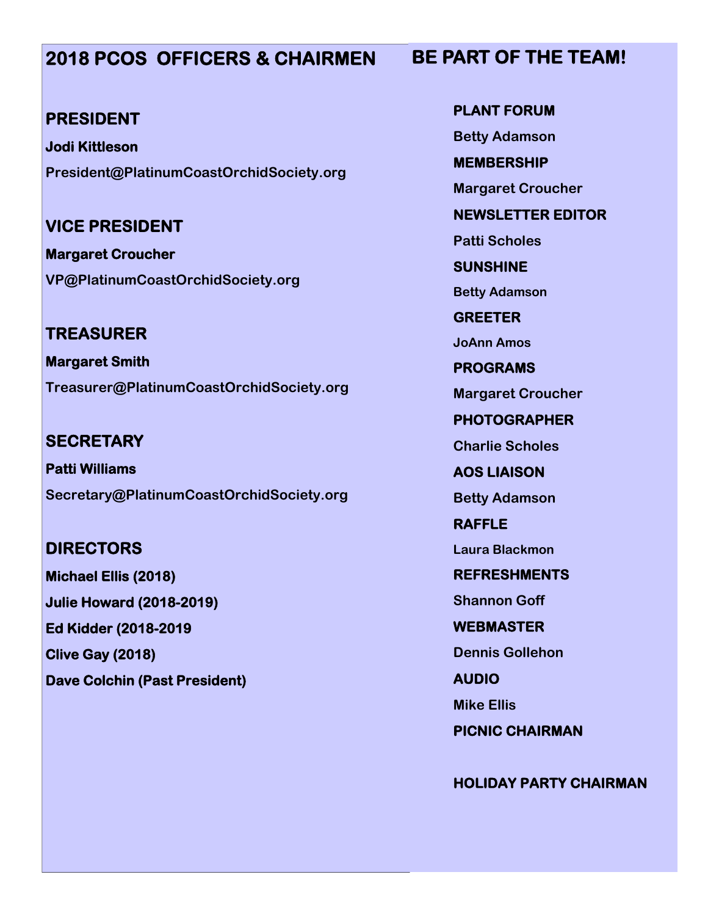#### **2018 PCOS OFFICERS & CHAIRMEN**

#### **PRESIDENT**

**Jodi Kittleson President@PlatinumCoastOrchidSociety.org**

**VICE PRESIDENT**

**Margaret Croucher VP@PlatinumCoastOrchidSociety.org**

**TREASURER Margaret Smith Treasurer@PlatinumCoastOrchidSociety.org**

**SECRETARY Patti Williams Secretary@PlatinumCoastOrchidSociety.org**

**DIRECTORS Michael Ellis (2018) Julie Howard (2018-2019) Ed Kidder (2018-2019 Clive Gay (2018) Dave Colchin (Past President)** **PLANT FORUM Betty Adamson MEMBERSHIP Margaret Croucher NEWSLETTER EDITOR Patti Scholes SUNSHINE Betty Adamson GREETER JoAnn Amos PROGRAMS Margaret Croucher PHOTOGRAPHER Charlie Scholes AOS LIAISON Betty Adamson RAFFLE Laura Blackmon REFRESHMENTS Shannon Goff WEBMASTER Dennis Gollehon AUDIO**

**Mike Ellis**

**PICNIC CHAIRMAN**

**HOLIDAY PARTY CHAIRMAN**

#### **BE PART OF THE TEAM!**